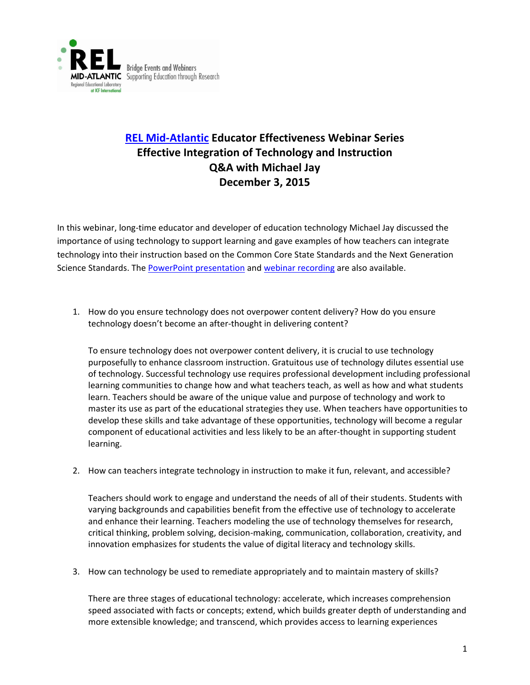

## **[REL Mid-Atlantic](https://www.relmidatlantic.org/) Educator Effectiveness Webinar Series Effective Integration of Technology and Instruction Q&A with Michael Jay December 3, 2015**

In this webinar, long-time educator and developer of education technology Michael Jay discussed the importance of using technology to support learning and gave examples of how teachers can integrate technology into their instruction based on the Common Core State Standards and the Next Generation Science Standards. The [PowerPoint presentation](https://www.relmidatlantic.org/sites/default/files/general_uploads/3.25.16_EE8_Integration%20of%20Technology%20and%20Instruction_Full%20Version_508c.pdf) and [webinar recording](https://www.youtube.com/watch?list=PLVHqsnePfULp0c78CNETg532CSUELJV_2&v=0Y9ZpD2WiOY) are also available.

1. How do you ensure technology does not overpower content delivery? How do you ensure technology doesn't become an after-thought in delivering content?

To ensure technology does not overpower content delivery, it is crucial to use technology purposefully to enhance classroom instruction. Gratuitous use of technology dilutes essential use of technology. Successful technology use requires professional development including professional learning communities to change how and what teachers teach, as well as how and what students learn. Teachers should be aware of the unique value and purpose of technology and work to master its use as part of the educational strategies they use. When teachers have opportunities to develop these skills and take advantage of these opportunities, technology will become a regular component of educational activities and less likely to be an after-thought in supporting student learning.

2. How can teachers integrate technology in instruction to make it fun, relevant, and accessible?

Teachers should work to engage and understand the needs of all of their students. Students with varying backgrounds and capabilities benefit from the effective use of technology to accelerate and enhance their learning. Teachers modeling the use of technology themselves for research, critical thinking, problem solving, decision-making, communication, collaboration, creativity, and innovation emphasizes for students the value of digital literacy and technology skills.

3. How can technology be used to remediate appropriately and to maintain mastery of skills?

There are three stages of educational technology: accelerate, which increases comprehension speed associated with facts or concepts; extend, which builds greater depth of understanding and more extensible knowledge; and transcend, which provides access to learning experiences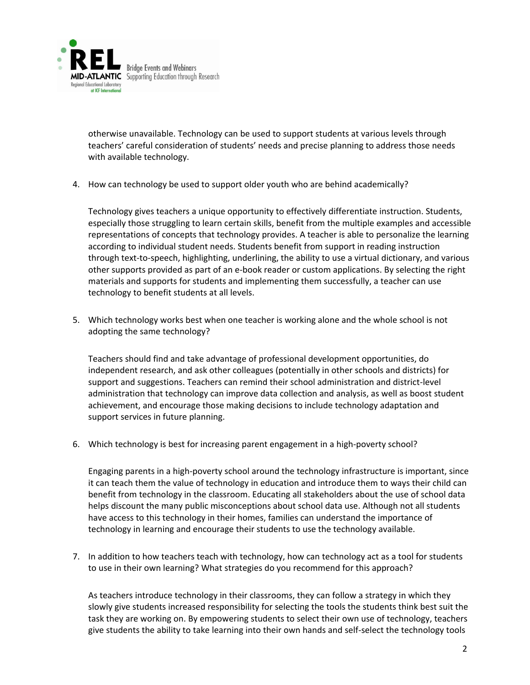

otherwise unavailable. Technology can be used to support students at various levels through teachers' careful consideration of students' needs and precise planning to address those needs with available technology.

4. How can technology be used to support older youth who are behind academically?

Technology gives teachers a unique opportunity to effectively differentiate instruction. Students, especially those struggling to learn certain skills, benefit from the multiple examples and accessible representations of concepts that technology provides. A teacher is able to personalize the learning according to individual student needs. Students benefit from support in reading instruction through text-to-speech, highlighting, underlining, the ability to use a virtual dictionary, and various other supports provided as part of an e-book reader or custom applications. By selecting the right materials and supports for students and implementing them successfully, a teacher can use technology to benefit students at all levels.

5. Which technology works best when one teacher is working alone and the whole school is not adopting the same technology?

Teachers should find and take advantage of professional development opportunities, do independent research, and ask other colleagues (potentially in other schools and districts) for support and suggestions. Teachers can remind their school administration and district-level administration that technology can improve data collection and analysis, as well as boost student achievement, and encourage those making decisions to include technology adaptation and support services in future planning.

6. Which technology is best for increasing parent engagement in a high-poverty school?

Engaging parents in a high-poverty school around the technology infrastructure is important, since it can teach them the value of technology in education and introduce them to ways their child can benefit from technology in the classroom. Educating all stakeholders about the use of school data helps discount the many public misconceptions about school data use. Although not all students have access to this technology in their homes, families can understand the importance of technology in learning and encourage their students to use the technology available.

7. In addition to how teachers teach with technology, how can technology act as a tool for students to use in their own learning? What strategies do you recommend for this approach?

As teachers introduce technology in their classrooms, they can follow a strategy in which they slowly give students increased responsibility for selecting the tools the students think best suit the task they are working on. By empowering students to select their own use of technology, teachers give students the ability to take learning into their own hands and self-select the technology tools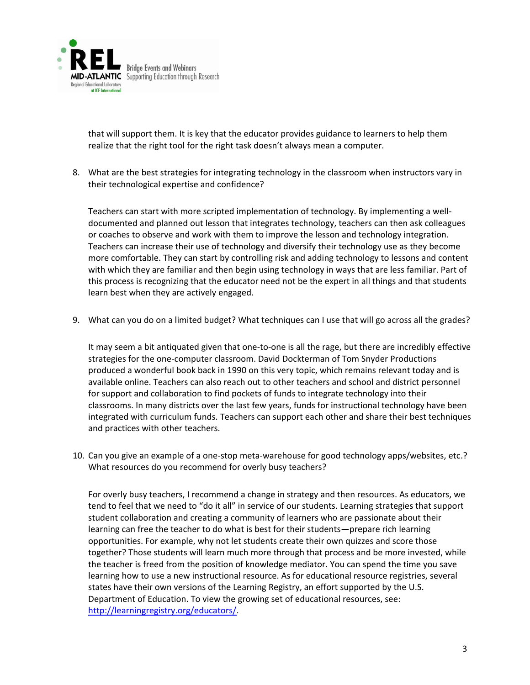

that will support them. It is key that the educator provides guidance to learners to help them realize that the right tool for the right task doesn't always mean a computer.

8. What are the best strategies for integrating technology in the classroom when instructors vary in their technological expertise and confidence?

Teachers can start with more scripted implementation of technology. By implementing a welldocumented and planned out lesson that integrates technology, teachers can then ask colleagues or coaches to observe and work with them to improve the lesson and technology integration. Teachers can increase their use of technology and diversify their technology use as they become more comfortable. They can start by controlling risk and adding technology to lessons and content with which they are familiar and then begin using technology in ways that are less familiar. Part of this process is recognizing that the educator need not be the expert in all things and that students learn best when they are actively engaged.

9. What can you do on a limited budget? What techniques can I use that will go across all the grades?

It may seem a bit antiquated given that one-to-one is all the rage, but there are incredibly effective strategies for the one-computer classroom. David Dockterman of Tom Snyder Productions produced a wonderful book back in 1990 on this very topic, which remains relevant today and is available online. Teachers can also reach out to other teachers and school and district personnel for support and collaboration to find pockets of funds to integrate technology into their classrooms. In many districts over the last few years, funds for instructional technology have been integrated with curriculum funds. Teachers can support each other and share their best techniques and practices with other teachers.

10. Can you give an example of a one-stop meta-warehouse for good technology apps/websites, etc.? What resources do you recommend for overly busy teachers?

For overly busy teachers, I recommend a change in strategy and then resources. As educators, we tend to feel that we need to "do it all" in service of our students. Learning strategies that support student collaboration and creating a community of learners who are passionate about their learning can free the teacher to do what is best for their students—prepare rich learning opportunities. For example, why not let students create their own quizzes and score those together? Those students will learn much more through that process and be more invested, while the teacher is freed from the position of knowledge mediator. You can spend the time you save learning how to use a new instructional resource. As for educational resource registries, several states have their own versions of the Learning Registry, an effort supported by the U.S. Department of Education. To view the growing set of educational resources, see: [http://learningregistry.org/educators/.](http://learningregistry.org/educators/)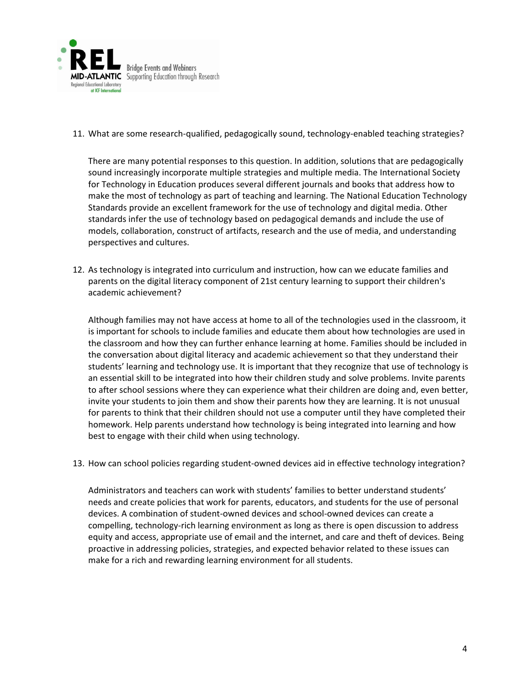

11. What are some research-qualified, pedagogically sound, technology-enabled teaching strategies?

There are many potential responses to this question. In addition, solutions that are pedagogically sound increasingly incorporate multiple strategies and multiple media. The International Society for Technology in Education produces several different journals and books that address how to make the most of technology as part of teaching and learning. The National Education Technology Standards provide an excellent framework for the use of technology and digital media. Other standards infer the use of technology based on pedagogical demands and include the use of models, collaboration, construct of artifacts, research and the use of media, and understanding perspectives and cultures.

12. As technology is integrated into curriculum and instruction, how can we educate families and parents on the digital literacy component of 21st century learning to support their children's academic achievement?

Although families may not have access at home to all of the technologies used in the classroom, it is important for schools to include families and educate them about how technologies are used in the classroom and how they can further enhance learning at home. Families should be included in the conversation about digital literacy and academic achievement so that they understand their students' learning and technology use. It is important that they recognize that use of technology is an essential skill to be integrated into how their children study and solve problems. Invite parents to after school sessions where they can experience what their children are doing and, even better, invite your students to join them and show their parents how they are learning. It is not unusual for parents to think that their children should not use a computer until they have completed their homework. Help parents understand how technology is being integrated into learning and how best to engage with their child when using technology.

13. How can school policies regarding student-owned devices aid in effective technology integration?

Administrators and teachers can work with students' families to better understand students' needs and create policies that work for parents, educators, and students for the use of personal devices. A combination of student-owned devices and school-owned devices can create a compelling, technology-rich learning environment as long as there is open discussion to address equity and access, appropriate use of email and the internet, and care and theft of devices. Being proactive in addressing policies, strategies, and expected behavior related to these issues can make for a rich and rewarding learning environment for all students.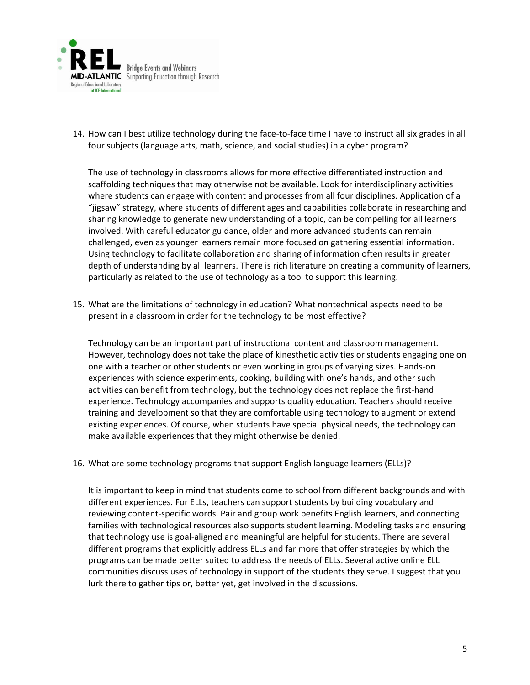

14. How can I best utilize technology during the face-to-face time I have to instruct all six grades in all four subjects (language arts, math, science, and social studies) in a cyber program?

The use of technology in classrooms allows for more effective differentiated instruction and scaffolding techniques that may otherwise not be available. Look for interdisciplinary activities where students can engage with content and processes from all four disciplines. Application of a "jigsaw" strategy, where students of different ages and capabilities collaborate in researching and sharing knowledge to generate new understanding of a topic, can be compelling for all learners involved. With careful educator guidance, older and more advanced students can remain challenged, even as younger learners remain more focused on gathering essential information. Using technology to facilitate collaboration and sharing of information often results in greater depth of understanding by all learners. There is rich literature on creating a community of learners, particularly as related to the use of technology as a tool to support this learning.

15. What are the limitations of technology in education? What nontechnical aspects need to be present in a classroom in order for the technology to be most effective?

Technology can be an important part of instructional content and classroom management. However, technology does not take the place of kinesthetic activities or students engaging one on one with a teacher or other students or even working in groups of varying sizes. Hands-on experiences with science experiments, cooking, building with one's hands, and other such activities can benefit from technology, but the technology does not replace the first-hand experience. Technology accompanies and supports quality education. Teachers should receive training and development so that they are comfortable using technology to augment or extend existing experiences. Of course, when students have special physical needs, the technology can make available experiences that they might otherwise be denied.

16. What are some technology programs that support English language learners (ELLs)?

It is important to keep in mind that students come to school from different backgrounds and with different experiences. For ELLs, teachers can support students by building vocabulary and reviewing content-specific words. Pair and group work benefits English learners, and connecting families with technological resources also supports student learning. Modeling tasks and ensuring that technology use is goal-aligned and meaningful are helpful for students. There are several different programs that explicitly address ELLs and far more that offer strategies by which the programs can be made better suited to address the needs of ELLs. Several active online ELL communities discuss uses of technology in support of the students they serve. I suggest that you lurk there to gather tips or, better yet, get involved in the discussions.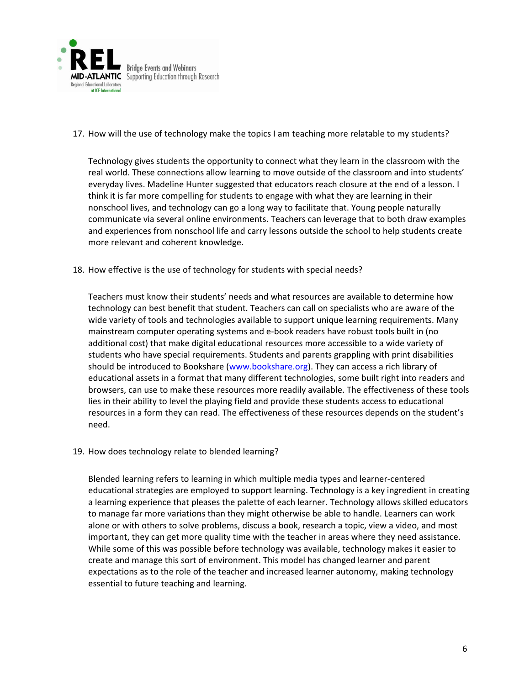

17. How will the use of technology make the topics I am teaching more relatable to my students?

Technology gives students the opportunity to connect what they learn in the classroom with the real world. These connections allow learning to move outside of the classroom and into students' everyday lives. Madeline Hunter suggested that educators reach closure at the end of a lesson. I think it is far more compelling for students to engage with what they are learning in their nonschool lives, and technology can go a long way to facilitate that. Young people naturally communicate via several online environments. Teachers can leverage that to both draw examples and experiences from nonschool life and carry lessons outside the school to help students create more relevant and coherent knowledge.

18. How effective is the use of technology for students with special needs?

Teachers must know their students' needs and what resources are available to determine how technology can best benefit that student. Teachers can call on specialists who are aware of the wide variety of tools and technologies available to support unique learning requirements. Many mainstream computer operating systems and e-book readers have robust tools built in (no additional cost) that make digital educational resources more accessible to a wide variety of students who have special requirements. Students and parents grappling with print disabilities should be introduced to Bookshare [\(www.bookshare.org\)](http://www.bookshare.org/). They can access a rich library of educational assets in a format that many different technologies, some built right into readers and browsers, can use to make these resources more readily available. The effectiveness of these tools lies in their ability to level the playing field and provide these students access to educational resources in a form they can read. The effectiveness of these resources depends on the student's need.

19. How does technology relate to blended learning?

Blended learning refers to learning in which multiple media types and learner-centered educational strategies are employed to support learning. Technology is a key ingredient in creating a learning experience that pleases the palette of each learner. Technology allows skilled educators to manage far more variations than they might otherwise be able to handle. Learners can work alone or with others to solve problems, discuss a book, research a topic, view a video, and most important, they can get more quality time with the teacher in areas where they need assistance. While some of this was possible before technology was available, technology makes it easier to create and manage this sort of environment. This model has changed learner and parent expectations as to the role of the teacher and increased learner autonomy, making technology essential to future teaching and learning.